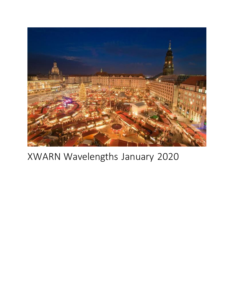

# XWARN Wavelengths January 2020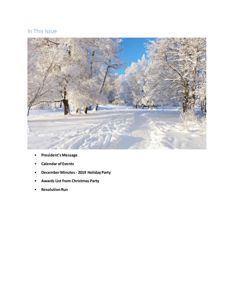## In This Issue



- **President's Message**
- **Calendar of Events**
- **December Minutes - 2019 Holiday Party**
- **Awards List from Christmas Party**
- **Resolution Run**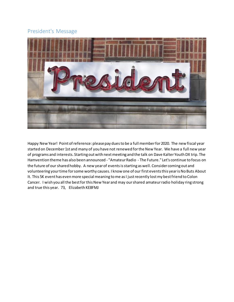## President's Message



Happy New Year! Point of reference: please pay dues to be a full member for 2020. The new fiscal year started on December 1st and many of you have not renewed for the New Year. We have a full new year of programs and interests. Starting out with next meeting and the talk on Dave Kalter Youth DX trip. The Hamvention theme has also been announced - "Amateur Radio - The Future." Let's continue to focus on the future of our shared hobby. A new year of events is starting as well. Consider coming out and volunteering your time for some worthy causes. I know one of our first events this year is No Buts About It. This 5K event has even more special meaning to me as I just recently lost my best friend to Colon Cancer. I wish you all the best for this New Year and may our shared amateur radio holiday ring strong and true this year. 73, Elizabeth KE8FMJ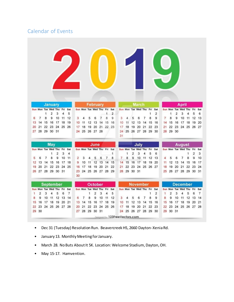## Calendar of Events

|                  | Sun Mon Tue Wed Thu         |        | <b>January</b> |                | Fri     | Sat            |                |                |    | February<br>Sun Mon Tue Wed Thu Fri |    |                | Sat                 |                                |                 |          | <b>March</b><br>Sun Mon Tue Wed Thu Fri |          |        | Sat    |    |                 |        | <b>April</b><br>Sun Mon Tue Wed Thu |         | Fri            | Sat     |  |
|------------------|-----------------------------|--------|----------------|----------------|---------|----------------|----------------|----------------|----|-------------------------------------|----|----------------|---------------------|--------------------------------|-----------------|----------|-----------------------------------------|----------|--------|--------|----|-----------------|--------|-------------------------------------|---------|----------------|---------|--|
| 6                | 7                           | 1<br>8 | 2<br>9         | 3<br>10        | 4<br>11 | 5<br>12        | 3              | 4              | 5  | 6                                   | 7  | 1<br>8         | $\overline{2}$<br>9 | 3                              | 4               | 5        | 6                                       | 7        | 1<br>8 | 2<br>9 | 7  | 1<br>8          | 2<br>9 | 3<br>10                             | 4<br>11 | 5<br>12        | 6<br>13 |  |
| 13               | 14                          | 15     | 16             | 17             | 18      | 19             | 10             | 11             | 12 | 13                                  | 14 | 15             | 16                  | 10                             | 11              | 12       | 13                                      | 14       | 15     | 16     | 14 | 15              | 16     | 17                                  | 18      | 19             | 20      |  |
| 20               | 21                          | 22     | 23             | 24             | 25      | 26             | 17             | 18             | 19 | 20                                  | 21 | 22             | 23                  | 17                             | 18              | 19       | 20                                      | 21       | 22     | 23     | 21 | 22              | 23     | 24                                  | 25      | 26             | 27      |  |
| 27               | 28                          |        | 29 30 31       |                |         |                |                |                |    | 24 25 26 27 28                      |    |                |                     |                                |                 |          | 24 25 26 27 28 29 30                    |          |        |        |    | 28 29 30        |        |                                     |         |                |         |  |
|                  |                             |        |                |                |         |                |                |                |    |                                     |    |                |                     | 31                             |                 |          |                                         |          |        |        |    |                 |        |                                     |         |                |         |  |
|                  |                             |        | <b>May</b>     |                |         |                |                |                |    | June                                |    |                |                     |                                |                 |          | July                                    |          |        |        |    |                 |        | <b>August</b>                       |         |                |         |  |
|                  | Sun Mon Tue Wed Thu Fri Sat |        |                |                |         |                |                |                |    | Sun Mon Tue Wed Thu Fri Sat         |    |                |                     |                                |                 |          | Sun Mon Tue Wed Thu Fri Sat             |          |        |        |    |                 |        | Sun Mon Tue Wed Thu                 |         | Fri            | Sat     |  |
|                  |                             |        | 1              | $\overline{2}$ | 3       | 4              |                |                |    |                                     |    |                | 1                   |                                |                 | 2        | 3                                       | 4        | 5      | 6      |    |                 |        |                                     |         | $\overline{2}$ | 3       |  |
| 5                | 6                           | 7      | 8              | 9              | 10      | 11             | $\overline{c}$ | 3              |    | 5                                   | 6  | $\overline{7}$ | 8                   | 7.                             | 8               | 9        | 10                                      | 11       | 12 13  |        |    | 5               | 6      | 7                                   | 8       | 9              | 10      |  |
| 12               | 13                          | 14     | 15             | 16             | 17      | 18             | 9              | 10             | 11 | 12                                  | 13 | 14             | 15                  | 14                             | 15              | 16       | 17                                      | 18       | 19     | 20     | 11 | 12              | 13     | 14                                  | 15      | 16             | 17      |  |
| 19               | 20                          | 21     | 22             | 23             | 24      | 25             | 16             | 17             | 18 | 19                                  | 20 | 21             | 22                  | 21                             | 22              | 23       | 24                                      | 25 26 27 |        |        | 18 | 19              | 20     | 21                                  | 22      | 23             | 24      |  |
| 26               | 27                          |        | 28 29 30 31    |                |         |                | 23<br>30       | 24             |    | 25 26 27                            |    | 28             | 29                  | 28                             |                 | 29 30 31 |                                         |          |        |        | 25 | 26              | 27     | 28 29                               |         | 30             | 31      |  |
| <b>September</b> |                             |        |                |                |         |                |                | <b>October</b> |    |                                     |    |                |                     |                                | <b>November</b> |          |                                         |          |        |        |    | <b>December</b> |        |                                     |         |                |         |  |
|                  | Sun Mon Tue Wed Thu         |        |                |                | Fri     | Sat            |                |                |    | Sun Mon Tue Wed Thu Fri             |    |                | Sat                 |                                |                 |          | Sun Mon Tue Wed Thu Fri Sat             |          |        |        |    |                 |        | Sun Mon Tue Wed Thu                 |         | Fri            | Sat     |  |
| 1                | 2                           | 3      | 4              | 5              | 6       | $\overline{7}$ |                |                | 1  | $\overline{2}$                      | 3  | 4              | 5                   |                                |                 |          |                                         |          | 1      | 2      | 1  | 2               | 3      |                                     | 5       | 6              | 7       |  |
| 8                | 9                           | 10     | 11             | 12             | 13      | 14             | 6              | 7              | 8  | 9                                   | 10 | 11             | 12                  | З                              |                 | 5        | 6                                       | 7        | 8      | 9      | 8  | 9               | 10     | 11                                  | 12      | 13             | 14      |  |
| 15               | 16                          | 17     | 18             | 19             | 20      | 21             | 13             | 14             | 15 | 16                                  | 17 | 18             | 19                  | 10                             | 11              | 12       | 13                                      | 14       | 15     | 16     | 15 | 16              | 17     | 18                                  | 19      | 20             | 21      |  |
| 22               | 23                          |        | 24 25 26 27    |                |         | 28             | 20             | 21             | 22 | 23                                  | 24 | 25             | 26                  | 17                             | 18              | 19       | 20                                      | 21       | 22     | 23     | 22 | 23              | 24     | 25                                  | 26 27   |                | 28      |  |
|                  | 29 30                       |        |                |                |         |                |                |                |    | 27 28 29 30 31                      |    |                |                     | $24^{\circ}$                   |                 |          | 25 26 27 28 29 30                       |          |        |        |    | 29 30 31        |        |                                     |         |                |         |  |
|                  |                             |        |                |                |         |                |                |                |    |                                     |    |                |                     | Designed by 123FreeVectors.com |                 |          |                                         |          |        |        |    |                 |        |                                     |         |                |         |  |

- Dec 31 (Tuesday) Resolution Run. Beavercreek HS, 2660 Dayton-Xenia Rd.
- January 13. Monthly Meeting for January.
- March 28. No Buts About It 5K. Location: Welcome Stadium, Dayton, OH.
- May 15-17. Hamvention.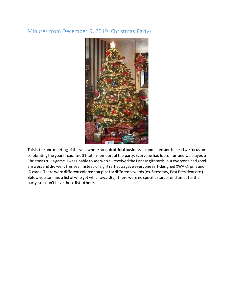## Minutes from December 9, 2019 (Christmas Party)



This is the one meeting of the year where no club official business is conducted and instead we focus on celebrating the year! I counted 31 total members at the party. Everyone had lots of fun and we played a Christmas trivia game. I was unable to see who all received the Panera gift cards, but everyone had good answers and did well. This year instead of a gift raffle, Liz gave everyone self-designed XWARN pins and ID cards. There were different colored star pins for different awards (ex. Secretary, Past President etc.). Below you can find a list of who got which award(s). There were no specific start or end times for the party, so I don't have those listed here.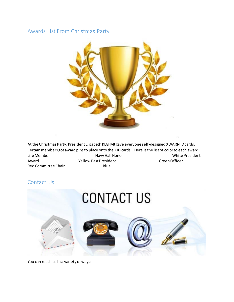#### Awards List From Christmas Party



At the Christmas Party, President Elizabeth KE8FMJ gave everyone self-designed XWARN ID cards. Certain members got award pins to place onto their ID cards. Here is the list of color to each award: Life Member Navy Hall Honor Navy Hall Honor Muslem Charles Monte President Award **The Communist President** Communist President Communist President Communist President Communist President Red Committee Chair **Blue** 

## Contact Us



You can reach us in a variety of ways: